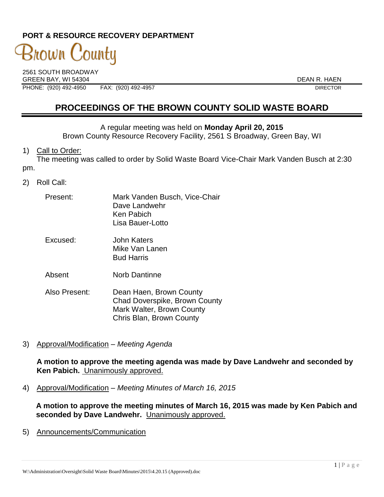# **PORT & RESOURCE RECOVERY DEPARTMENT**

# 3nown C 'ountu

2561 SOUTH BROADWAY GREEN BAY, WI 54304 DEAN R. HAEN PHONE: (920) 492-4950 FAX: (920) 492-4957 DIRECTOR

# **PROCEEDINGS OF THE BROWN COUNTY SOLID WASTE BOARD**

A regular meeting was held on **Monday April 20, 2015**

Brown County Resource Recovery Facility, 2561 S Broadway, Green Bay, WI

1) Call to Order:

The meeting was called to order by Solid Waste Board Vice-Chair Mark Vanden Busch at 2:30 pm.

- 2) Roll Call:
	- Present: Mark Vanden Busch, Vice-Chair Dave Landwehr Ken Pabich Lisa Bauer-Lotto
	- Excused: John Katers Mike Van Lanen Bud Harris
	- Absent Norb Dantinne
	- Also Present: Dean Haen, Brown County Chad Doverspike, Brown County Mark Walter, Brown County Chris Blan, Brown County
- 3) Approval/Modification *Meeting Agenda*

**A motion to approve the meeting agenda was made by Dave Landwehr and seconded by Ken Pabich.** Unanimously approved.

4) Approval/Modification – *Meeting Minutes of March 16, 2015*

**A motion to approve the meeting minutes of March 16, 2015 was made by Ken Pabich and seconded by Dave Landwehr.** Unanimously approved.

5) Announcements/Communication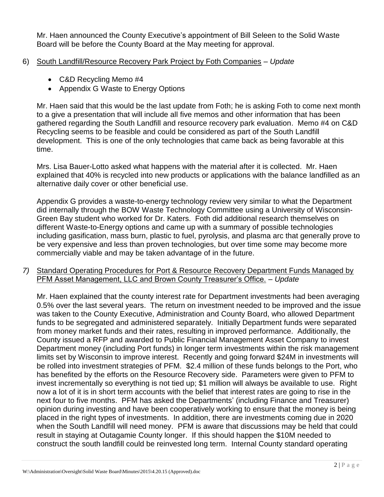Mr. Haen announced the County Executive's appointment of Bill Seleen to the Solid Waste Board will be before the County Board at the May meeting for approval.

### 6) South Landfill/Resource Recovery Park Project by Foth Companies – *Update*

- C&D Recycling Memo #4
- Appendix G Waste to Energy Options

Mr. Haen said that this would be the last update from Foth; he is asking Foth to come next month to a give a presentation that will include all five memos and other information that has been gathered regarding the South Landfill and resource recovery park evaluation. Memo #4 on C&D Recycling seems to be feasible and could be considered as part of the South Landfill development. This is one of the only technologies that came back as being favorable at this time.

Mrs. Lisa Bauer-Lotto asked what happens with the material after it is collected. Mr. Haen explained that 40% is recycled into new products or applications with the balance landfilled as an alternative daily cover or other beneficial use.

Appendix G provides a waste-to-energy technology review very similar to what the Department did internally through the BOW Waste Technology Committee using a University of Wisconsin-Green Bay student who worked for Dr. Katers. Foth did additional research themselves on different Waste-to-Energy options and came up with a summary of possible technologies including gasification, mass burn, plastic to fuel, pyrolysis, and plasma arc that generally prove to be very expensive and less than proven technologies, but over time some may become more commercially viable and may be taken advantage of in the future.

*7)* Standard Operating Procedures for Port & Resource Recovery Department Funds Managed by PFM Asset Management, LLC and Brown County Treasurer's Office. – *Update* 

Mr. Haen explained that the county interest rate for Department investments had been averaging 0.5% over the last several years. The return on investment needed to be improved and the issue was taken to the County Executive, Administration and County Board, who allowed Department funds to be segregated and administered separately. Initially Department funds were separated from money market funds and their rates, resulting in improved performance. Additionally, the County issued a RFP and awarded to Public Financial Management Asset Company to invest Department money (including Port funds) in longer term investments within the risk management limits set by Wisconsin to improve interest. Recently and going forward \$24M in investments will be rolled into investment strategies of PFM. \$2.4 million of these funds belongs to the Port, who has benefited by the efforts on the Resource Recovery side. Parameters were given to PFM to invest incrementally so everything is not tied up; \$1 million will always be available to use. Right now a lot of it is in short term accounts with the belief that interest rates are going to rise in the next four to five months. PFM has asked the Departments' (including Finance and Treasurer) opinion during investing and have been cooperatively working to ensure that the money is being placed in the right types of investments. In addition, there are investments coming due in 2020 when the South Landfill will need money. PFM is aware that discussions may be held that could result in staying at Outagamie County longer. If this should happen the \$10M needed to construct the south landfill could be reinvested long term. Internal County standard operating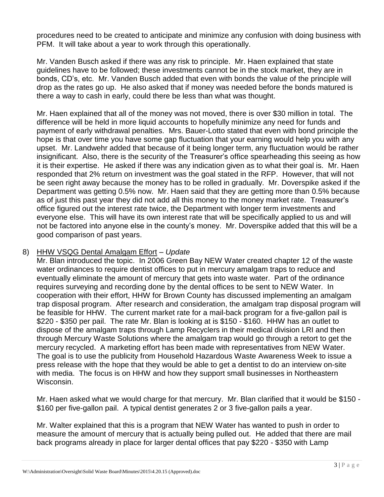procedures need to be created to anticipate and minimize any confusion with doing business with PFM. It will take about a year to work through this operationally.

Mr. Vanden Busch asked if there was any risk to principle. Mr. Haen explained that state guidelines have to be followed; these investments cannot be in the stock market, they are in bonds, CD's, etc. Mr. Vanden Busch added that even with bonds the value of the principle will drop as the rates go up. He also asked that if money was needed before the bonds matured is there a way to cash in early, could there be less than what was thought.

Mr. Haen explained that all of the money was not moved, there is over \$30 million in total. The difference will be held in more liquid accounts to hopefully minimize any need for funds and payment of early withdrawal penalties. Mrs. Bauer-Lotto stated that even with bond principle the hope is that over time you have some gap fluctuation that your earning would help you with any upset. Mr. Landwehr added that because of it being longer term, any fluctuation would be rather insignificant. Also, there is the security of the Treasurer's office spearheading this seeing as how it is their expertise. He asked if there was any indication given as to what their goal is. Mr. Haen responded that 2% return on investment was the goal stated in the RFP. However, that will not be seen right away because the money has to be rolled in gradually. Mr. Doverspike asked if the Department was getting 0.5% now. Mr. Haen said that they are getting more than 0.5% because as of just this past year they did not add all this money to the money market rate. Treasurer's office figured out the interest rate twice, the Department with longer term investments and everyone else. This will have its own interest rate that will be specifically applied to us and will not be factored into anyone else in the county's money. Mr. Doverspike added that this will be a good comparison of past years.

#### 8) HHW VSQG Dental Amalgam Effort *– Update*

Mr. Blan introduced the topic. In 2006 Green Bay NEW Water created chapter 12 of the waste water ordinances to require dentist offices to put in mercury amalgam traps to reduce and eventually eliminate the amount of mercury that gets into waste water. Part of the ordinance requires surveying and recording done by the dental offices to be sent to NEW Water. In cooperation with their effort, HHW for Brown County has discussed implementing an amalgam trap disposal program. After research and consideration, the amalgam trap disposal program will be feasible for HHW. The current market rate for a mail-back program for a five-gallon pail is \$220 - \$350 per pail. The rate Mr. Blan is looking at is \$150 - \$160. HHW has an outlet to dispose of the amalgam traps through Lamp Recyclers in their medical division LRI and then through Mercury Waste Solutions where the amalgam trap would go through a retort to get the mercury recycled. A marketing effort has been made with representatives from NEW Water. The goal is to use the publicity from Household Hazardous Waste Awareness Week to issue a press release with the hope that they would be able to get a dentist to do an interview on-site with media. The focus is on HHW and how they support small businesses in Northeastern Wisconsin.

Mr. Haen asked what we would charge for that mercury. Mr. Blan clarified that it would be \$150 - \$160 per five-gallon pail. A typical dentist generates 2 or 3 five-gallon pails a year.

Mr. Walter explained that this is a program that NEW Water has wanted to push in order to measure the amount of mercury that is actually being pulled out. He added that there are mail back programs already in place for larger dental offices that pay \$220 - \$350 with Lamp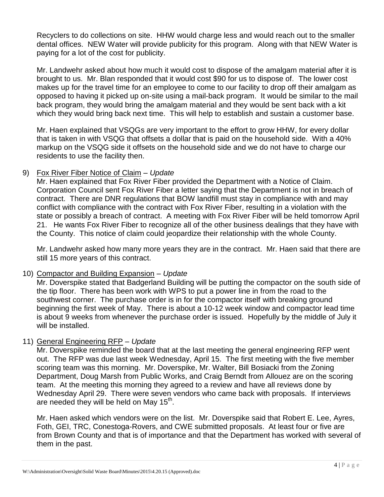Recyclers to do collections on site. HHW would charge less and would reach out to the smaller dental offices. NEW Water will provide publicity for this program. Along with that NEW Water is paying for a lot of the cost for publicity.

Mr. Landwehr asked about how much it would cost to dispose of the amalgam material after it is brought to us. Mr. Blan responded that it would cost \$90 for us to dispose of. The lower cost makes up for the travel time for an employee to come to our facility to drop off their amalgam as opposed to having it picked up on-site using a mail-back program. It would be similar to the mail back program, they would bring the amalgam material and they would be sent back with a kit which they would bring back next time. This will help to establish and sustain a customer base.

Mr. Haen explained that VSQGs are very important to the effort to grow HHW, for every dollar that is taken in with VSQG that offsets a dollar that is paid on the household side. With a 40% markup on the VSQG side it offsets on the household side and we do not have to charge our residents to use the facility then.

### 9) Fox River Fiber Notice of Claim – *Update*

Mr. Haen explained that Fox River Fiber provided the Department with a Notice of Claim. Corporation Council sent Fox River Fiber a letter saying that the Department is not in breach of contract. There are DNR regulations that BOW landfill must stay in compliance with and may conflict with compliance with the contract with Fox River Fiber, resulting in a violation with the state or possibly a breach of contract. A meeting with Fox River Fiber will be held tomorrow April 21. He wants Fox River Fiber to recognize all of the other business dealings that they have with the County. This notice of claim could jeopardize their relationship with the whole County.

Mr. Landwehr asked how many more years they are in the contract. Mr. Haen said that there are still 15 more years of this contract.

# 10) Compactor and Building Expansion – *Update*

Mr. Doverspike stated that Badgerland Building will be putting the compactor on the south side of the tip floor. There has been work with WPS to put a power line in from the road to the southwest corner. The purchase order is in for the compactor itself with breaking ground beginning the first week of May. There is about a 10-12 week window and compactor lead time is about 9 weeks from whenever the purchase order is issued. Hopefully by the middle of July it will be installed.

# 11) General Engineering RFP – *Update*

Mr. Doverspike reminded the board that at the last meeting the general engineering RFP went out. The RFP was due last week Wednesday, April 15. The first meeting with the five member scoring team was this morning. Mr. Doverspike, Mr. Walter, Bill Bosiacki from the Zoning Department, Doug Marsh from Public Works, and Craig Berndt from Allouez are on the scoring team. At the meeting this morning they agreed to a review and have all reviews done by Wednesday April 29. There were seven vendors who came back with proposals. If interviews are needed they will be held on May  $15^{th}$ .

Mr. Haen asked which vendors were on the list. Mr. Doverspike said that Robert E. Lee, Ayres, Foth, GEI, TRC, Conestoga-Rovers, and CWE submitted proposals. At least four or five are from Brown County and that is of importance and that the Department has worked with several of them in the past.